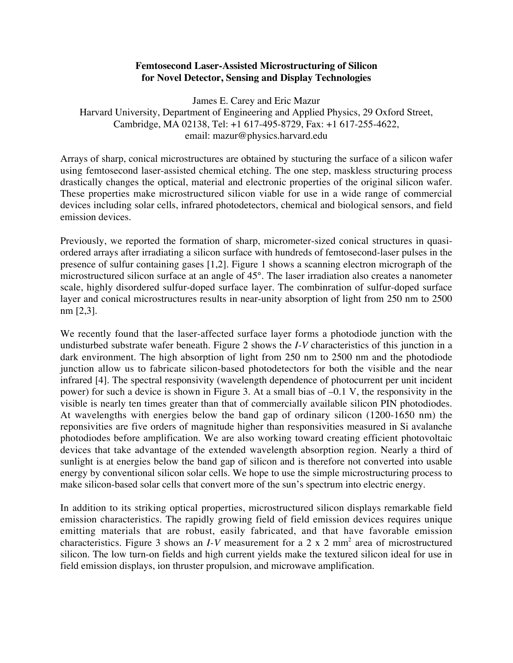## **Femtosecond Laser-Assisted Microstructuring of Silicon for Novel Detector, Sensing and Display Technologies**

James E. Carey and Eric Mazur Harvard University, Department of Engineering and Applied Physics, 29 Oxford Street, Cambridge, MA 02138, Tel: +1 617-495-8729, Fax: +1 617-255-4622, email: mazur@physics.harvard.edu

Arrays of sharp, conical microstructures are obtained by stucturing the surface of a silicon wafer using femtosecond laser-assisted chemical etching. The one step, maskless structuring process drastically changes the optical, material and electronic properties of the original silicon wafer. These properties make microstructured silicon viable for use in a wide range of commercial devices including solar cells, infrared photodetectors, chemical and biological sensors, and field emission devices.

Previously, we reported the formation of sharp, micrometer-sized conical structures in quasiordered arrays after irradiating a silicon surface with hundreds of femtosecond-laser pulses in the presence of sulfur containing gases [1,2]. Figure 1 shows a scanning electron micrograph of the microstructured silicon surface at an angle of 45°. The laser irradiation also creates a nanometer scale, highly disordered sulfur-doped surface layer. The combinration of sulfur-doped surface layer and conical microstructures results in near-unity absorption of light from 250 nm to 2500 nm [2,3].

We recently found that the laser-affected surface layer forms a photodiode junction with the undisturbed substrate wafer beneath. Figure 2 shows the *I-V* characteristics of this junction in a dark environment. The high absorption of light from 250 nm to 2500 nm and the photodiode junction allow us to fabricate silicon-based photodetectors for both the visible and the near infrared [4]. The spectral responsivity (wavelength dependence of photocurrent per unit incident power) for such a device is shown in Figure 3. At a small bias of –0.1 V, the responsivity in the visible is nearly ten times greater than that of commercially available silicon PIN photodiodes. At wavelengths with energies below the band gap of ordinary silicon (1200-1650 nm) the reponsivities are five orders of magnitude higher than responsivities measured in Si avalanche photodiodes before amplification. We are also working toward creating efficient photovoltaic devices that take advantage of the extended wavelength absorption region. Nearly a third of sunlight is at energies below the band gap of silicon and is therefore not converted into usable energy by conventional silicon solar cells. We hope to use the simple microstructuring process to make silicon-based solar cells that convert more of the sun's spectrum into electric energy.

In addition to its striking optical properties, microstructured silicon displays remarkable field emission characteristics. The rapidly growing field of field emission devices requires unique emitting materials that are robust, easily fabricated, and that have favorable emission characteristics. Figure 3 shows an *I-V* measurement for a 2 x 2 mm<sup>2</sup> area of microstructured silicon. The low turn-on fields and high current yields make the textured silicon ideal for use in field emission displays, ion thruster propulsion, and microwave amplification.